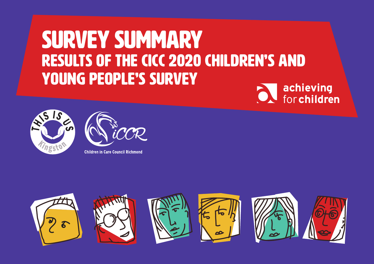# survey summary Results of the CiCC 2020 Children's and young people's survey







**Children in Care Council Richmond** 

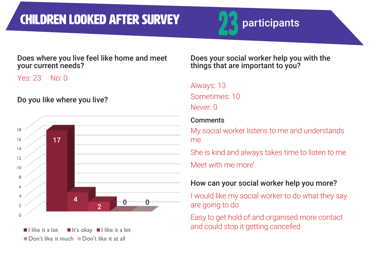# CHILDREN LOOKED AFTER SURVEY **23** participants



#### Does where you live feel like home and meet your current needs?

Yes: 23 No: 0

Do you like where you live?



Does your social worker help you with the things that are important to you?

# Always: 13

Sometimes: 10 Never: 0

#### **Comments**

My social worker listens to me and understands me

She is kind and always takes time to listen to me Meet with me more'

# How can your social worker help you more?

I would like my social worker to do what they say are going to do

Easy to get hold of and organised more contact and could stop it getting cancelled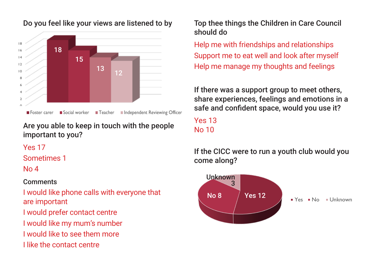

Do you feel like your views are listened to by

Are you able to keep in touch with the people important to you?

Yes 17

Sometimes 1

No 4

#### **Comments**

I would like phone calls with everyone that are important I would prefer contact centre I would like my mum's number I would like to see them more I like the contact centre

Top thee things the Children in Care Council should do

Help me with friendships and relationships Support me to eat well and look after myself Help me manage my thoughts and feelings

If there was a support group to meet others. share experiences, feelings and emotions in a safe and confident space, would you use it?

Yes 13 No 10

If the CICC were to run a youth club would you come along?

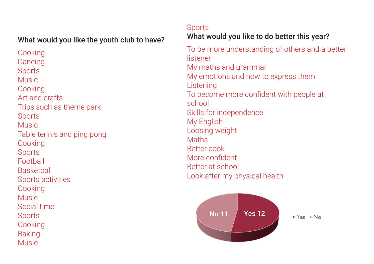#### What would you like the youth club to have?

**Cooking** Dancing **Sports** Music **Cooking** Art and crafts Trips such as theme park **Sports** Music Table tennis and ping pong Cooking **Sports** Football **Basketball** Sports activities Cooking Music Social time **Sports Cooking** Baking **Music** 

#### **Sports**

# What would you like to do better this year?

To be more understanding of others and a better listener My maths and grammar My emotions and how to express them Listening To become more confident with people at school Skills for independence My English Loosing weight **Maths** Better cook More confident Better at school Look after my physical health

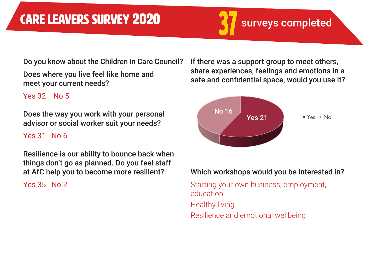Do you know about the Children in Care Council?

Does where you live feel like home and meet your current needs?

Yes 32 No 5

Does the way you work with your personal advisor or social worker suit your needs?

#### Yes 31 No 6

Resilience is our ability to bounce back when things don't go as planned. Do you feel staff at AfC help you to become more resilient?

Yes 35 No 2

If there was a support group to meet others, share experiences, feelings and emotions in a safe and confidential space, would you use it?



#### Which workshops would you be interested in?

Starting your own business, employment, education Healthy living Resilience and emotional wellbeing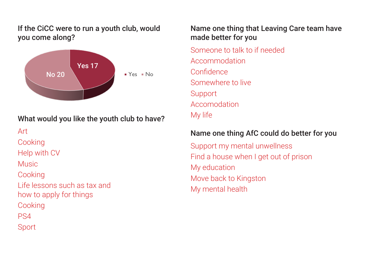If the CiCC were to run a youth club, would you come along?



### What would you like the youth club to have?

Art

**Cooking** 

Help with CV

Music

**Cooking** 

Life lessons such as tax and how to apply for things

**Cooking** 

PS4

Sport

#### Name one thing that Leaving Care team have made better for you

Someone to talk to if needed Accommodation Confidence Somewhere to live Support Accomodation My life

#### Name one thing AfC could do better for you

Support my mental unwellness Find a house when I get out of prison My education Move back to Kingston My mental health